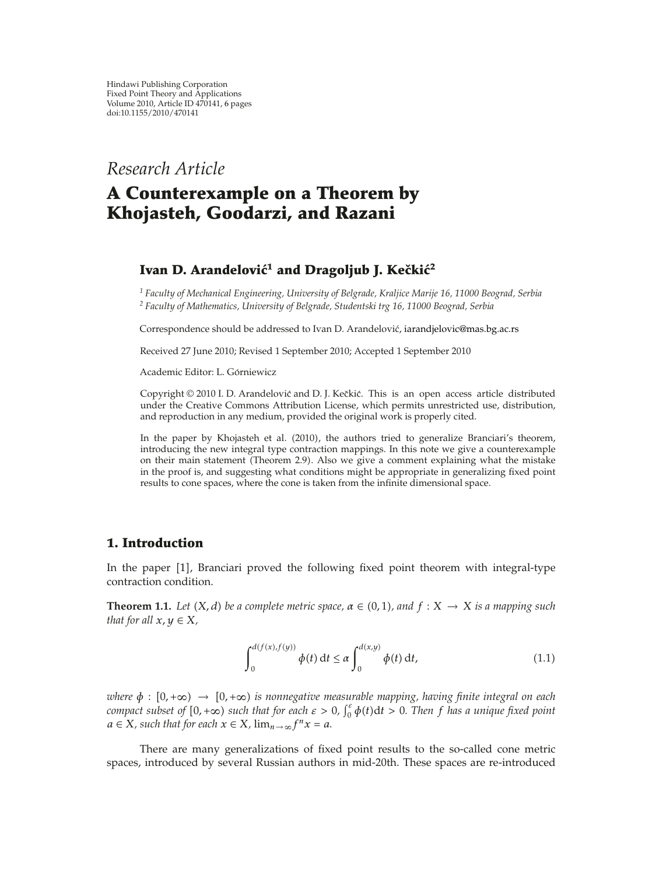*Research Article*

# **A Counterexample on a Theorem by Khojasteh, Goodarzi, and Razani**

## **Ivan D. Arandelović<sup>1</sup> and Dragoljub J. Kečkić<sup>2</sup>**

*<sup>1</sup> Faculty of Mechanical Engineering, University of Belgrade, Kraljice Marije 16, 11000 Beograd, Serbia <sup>2</sup> Faculty of Mathematics, University of Belgrade, Studentski trg 16, 11000 Beograd, Serbia*

Correspondence should be addressed to Ivan D. Arandelović, iarandjelovic@mas.bg.ac.rs

Received 27 June 2010; Revised 1 September 2010; Accepted 1 September 2010

Academic Editor: L. Górniewicz

Copyright © 2010 I. D. Arandelović and D. J. Kečkić. This is an open access article distributed under the Creative Commons Attribution License, which permits unrestricted use, distribution, and reproduction in any medium, provided the original work is properly cited.

In the paper by Khojasteh et al. (2010), the authors tried to generalize Branciari's theorem, introducing the new integral type contraction mappings. In this note we give a counterexample on their main statement (Theorem 2.9). Also we give a comment explaining what the mistake in the proof is, and suggesting what conditions might be appropriate in generalizing fixed point results to cone spaces, where the cone is taken from the infinite dimensional space.

#### **1. Introduction**

In the paper [1], Branciari proved the following fixed point theorem with integral-type contraction condition.

**Theorem 1.1.** Let  $(X, d)$  be a complete metric space,  $\alpha \in (0, 1)$ , and  $f : X \to X$  is a mapping such *that for all*  $x, y \in X$ *,* 

$$
\int_0^{d(f(x),f(y))} \phi(t) dt \le \alpha \int_0^{d(x,y)} \phi(t) dt,
$$
\n(1.1)

*where*  $\phi$  :  $[0, +\infty) \rightarrow [0, +\infty)$  *is nonnegative measurable mapping, having finite integral on each compact subset of*  $[0, +\infty)$  *such that for each*  $\varepsilon > 0$ ,  $\int_0^{\varepsilon} \phi(t) dt > 0$ . Then f has a unique fixed point  $a \in X$ *, such that for each*  $x \in X$ *,*  $\lim_{n \to \infty} f^n x = a$ *.* 

There are many generalizations of fixed point results to the so-called cone metric spaces, introduced by several Russian authors in mid-20th. These spaces are re-introduced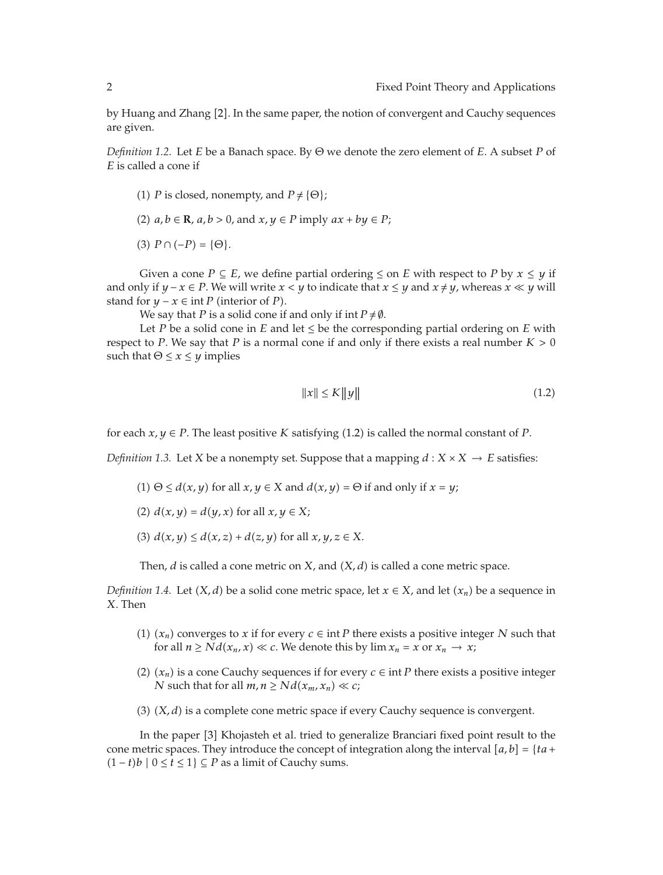by Huang and Zhang [2]. In the same paper, the notion of convergent and Cauchy sequences are given.

*Definition 1.2.* Let *E* be a Banach space. By Θ we denote the zero element of *E*. A subset *P* of *E* is called a cone if

- (1) *P* is closed, nonempty, and  $P \neq \{\Theta\}$ ;
- (2)  $a, b \in \mathbb{R}$ ,  $a, b > 0$ , and  $x, y \in P$  imply  $ax + by \in P$ ;

(3)  $P \cap (-P) = {\Theta}.$ 

Given a cone *P*  $\subseteq$  *E*, we define partial ordering  $\leq$  on *E* with respect to *P* by  $x \leq y$  if and only if  $y - x \in P$ . We will write  $x < y$  to indicate that  $x \le y$  and  $x \ne y$ , whereas  $x \ll y$  will stand for  $y - x \in \text{int } P$  (interior of *P*).

We say that *P* is a solid cone if and only if int  $P \neq \emptyset$ .

Let *P* be a solid cone in *E* and let  $\leq$  be the corresponding partial ordering on *E* with respect to *P*. We say that *P* is a normal cone if and only if there exists a real number  $K > 0$ such that  $\Theta \leq x \leq y$  implies

$$
||x|| \le K||y|| \tag{1.2}
$$

for each  $x, y \in P$ . The least positive *K* satisfying (1.2) is called the normal constant of *P*.

*Definition 1.3.* Let *X* be a nonempty set. Suppose that a mapping  $d : X \times X \rightarrow E$  satisfies:

- (1)  $\Theta \le d(x, y)$  for all  $x, y \in X$  and  $d(x, y) = \Theta$  if and only if  $x = y$ ;
- (2)  $d(x, y) = d(y, x)$  for all  $x, y \in X$ ;
- (3)  $d(x, y) \leq d(x, z) + d(z, y)$  for all  $x, y, z \in X$ .

Then,  $d$  is called a cone metric on  $X$ , and  $(X, d)$  is called a cone metric space.

*Definition 1.4.* Let  $(X, d)$  be a solid cone metric space, let  $x \in X$ , and let  $(x_n)$  be a sequence in *X*. Then

- (1)  $(x_n)$  converges to *x* if for every  $c \in \text{int } P$  there exists a positive integer *N* such that for all  $n \geq N d(x_n, x) \ll c$ . We denote this by  $\lim x_n = x$  or  $x_n \to x$ ;
- (2)  $(x_n)$  is a cone Cauchy sequences if for every  $c \in \text{int } P$  there exists a positive integer *N* such that for all  $m, n \geq Nd(x_m, x_n) \ll c$ ;
- (3)  $(X, d)$  is a complete cone metric space if every Cauchy sequence is convergent.

In the paper [3] Khojasteh et al. tried to generalize Branciari fixed point result to the cone metric spaces. They introduce the concept of integration along the interval  $[a, b] = \{ta +$  $(1-t)b$  | 0 ≤  $\hat{t}$  ≤ 1} ⊆ *P* as a limit of Cauchy sums.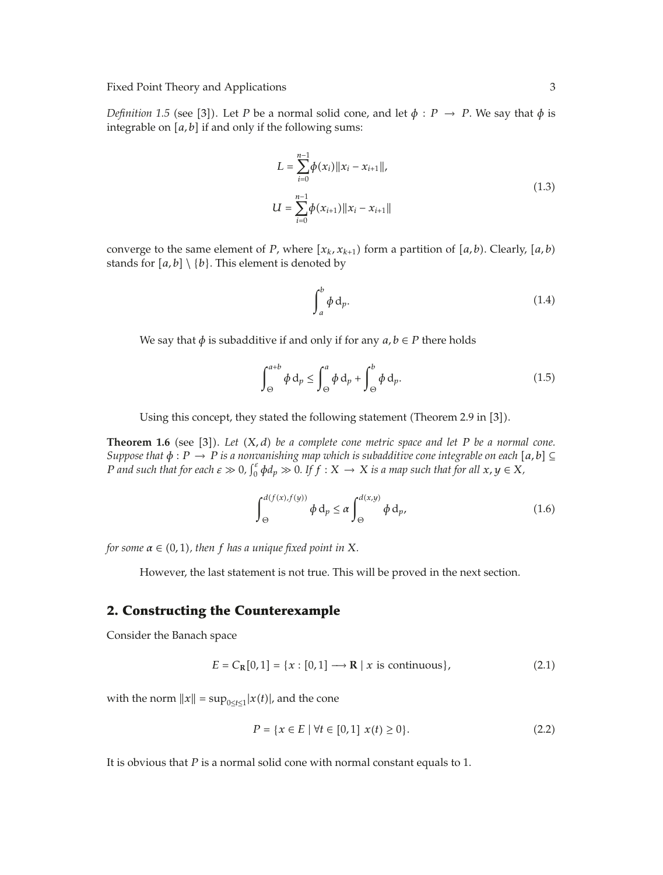Fixed Point Theory and Applications 3

*Definition 1.5* (see [3]). Let *P* be a normal solid cone, and let  $\phi$  : *P*  $\rightarrow$  *P*. We say that  $\phi$  is integrable on  $[a, b]$  if and only if the following sums:

$$
L = \sum_{i=0}^{n-1} \phi(x_i) ||x_i - x_{i+1}||,
$$
  
\n
$$
U = \sum_{i=0}^{n-1} \phi(x_{i+1}) ||x_i - x_{i+1}||
$$
\n(1.3)

converge to the same element of *P*, where  $[x_k, x_{k+1})$  form a partition of  $[a, b)$ . Clearly,  $[a, b)$ stands for  $[a, b] \setminus \{b\}$ . This element is denoted by

$$
\int_{a}^{b} \phi \, \mathrm{d}_{p}.\tag{1.4}
$$

We say that  $\phi$  is subadditive if and only if for any  $a, b \in P$  there holds

$$
\int_{\Theta}^{a+b} \phi \, d_p \le \int_{\Theta}^a \phi \, d_p + \int_{\Theta}^b \phi \, d_p. \tag{1.5}
$$

Using this concept, they stated the following statement (Theorem 2.9 in [3]).

**Theorem 1.6** (see [3]). Let  $(X, d)$  be a complete cone metric space and let P be a normal cone. *Suppose that*  $\phi$  :  $P \rightarrow P$  *is a nonvanishing map which is subadditive cone integrable on each* [a, b] ⊆ *P* and such that for each  $\varepsilon \gg 0$ ,  $\int_0^{\varepsilon} \phi d_p \gg 0$ . If  $f : X \to X$  is a map such that for all  $x, y \in X$ ,

$$
\int_{\Theta}^{d(f(x), f(y))} \phi \, d_p \le \alpha \int_{\Theta}^{d(x, y)} \phi \, d_p,\tag{1.6}
$$

 $f$ or some  $\alpha \in (0, 1)$ , then  $f$  has a unique fixed point in X.

However, the last statement is not true. This will be proved in the next section.

## **2. Constructing the Counterexample**

Consider the Banach space

$$
E = C_{\mathbb{R}}[0,1] = \{x : [0,1] \longrightarrow \mathbb{R} \mid x \text{ is continuous}\},\tag{2.1}
$$

with the norm  $||x|| = \sup_{0 \le t \le 1} |x(t)|$ , and the cone

$$
P = \{x \in E \mid \forall t \in [0, 1] \ x(t) \ge 0\}.
$$
 (2.2)

It is obvious that *P* is a normal solid cone with normal constant equals to 1.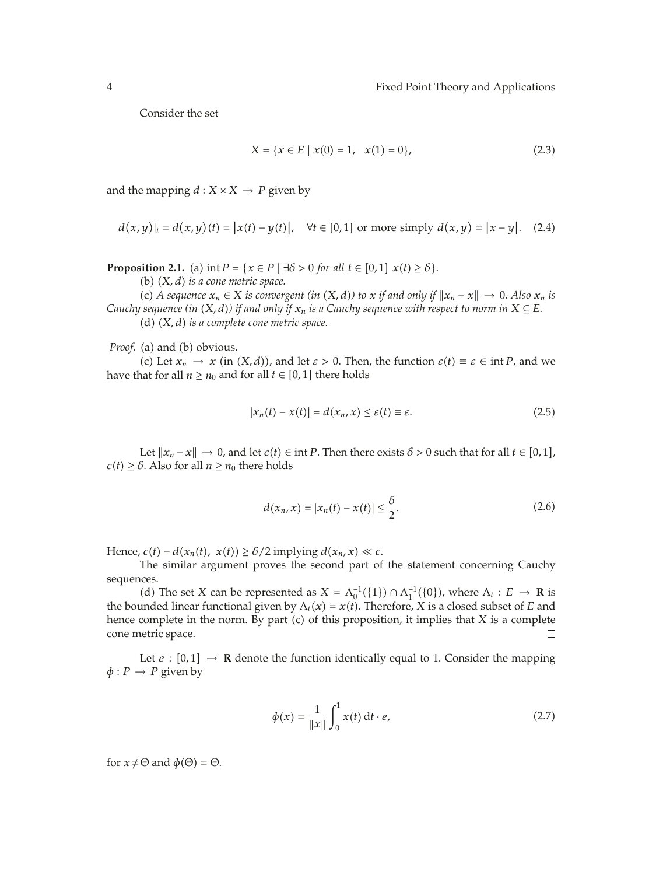Consider the set

$$
X = \{x \in E \mid x(0) = 1, x(1) = 0\},\tag{2.3}
$$

and the mapping  $d : X \times X \rightarrow P$  given by

$$
d(x,y)|_{t} = d(x,y)(t) = |x(t) - y(t)|, \quad \forall t \in [0,1] \text{ or more simply } d(x,y) = |x - y|. \tag{2.4}
$$

**Proposition 2.1.** (a)  $\text{int } P = \{x \in P \mid \exists \delta > 0 \text{ for all } t \in [0,1] \ x(t) \ge \delta\}.$ 

(b)  $(X, d)$  *is a cone metric space.* 

(c) A sequence  $x_n \in X$  is convergent (in  $(X, d)$ ) to  $x$  if and only if  $||x_n - x|| \to 0$ . Also  $x_n$  is *Cauchy sequence (in*  $(X, d)$ *) if and only if*  $x_n$  *is a Cauchy sequence with respect to norm in*  $X \subseteq E$ *.* (d)  $(X, d)$  *is a complete cone metric space.* 

*Proof.* (a) and (b) obvious.

(c) Let  $x_n \to x$  (in  $(X, d)$ ), and let  $\varepsilon > 0$ . Then, the function  $\varepsilon(t) \equiv \varepsilon \in \text{int } P$ , and we have that for all  $n \geq n_0$  and for all  $t \in [0, 1]$  there holds

$$
|x_n(t) - x(t)| = d(x_n, x) \le \varepsilon(t) \equiv \varepsilon. \tag{2.5}
$$

Let  $||x_n - x|| \to 0$ , and let  $c(t) \in \text{int } P$ . Then there exists  $\delta > 0$  such that for all  $t \in [0,1]$ ,  $c(t) \geq \delta$ . Also for all  $n \geq n_0$  there holds

$$
d(x_n, x) = |x_n(t) - x(t)| \le \frac{\delta}{2}.
$$
 (2.6)

Hence,  $c(t) - d(x_n(t), x(t)) \ge \delta/2$  implying  $d(x_n, x) \ll c$ .

The similar argument proves the second part of the statement concerning Cauchy sequences.

(d) The set *X* can be represented as  $X = \Lambda_0^{-1}(\{1\}) \cap \Lambda_1^{-1}(\{0\})$ , where  $\Lambda_t : E \to \mathbb{R}$  is the bounded linear functional given by  $\Lambda_t(x) = x(t)$ . Therefore, *X* is a closed subset of *E* and hence complete in the norm. By part  $(c)$  of this proposition, it implies that  $X$  is a complete cone metric space.  $\Box$ 

Let  $e : [0,1] \rightarrow \mathbb{R}$  denote the function identically equal to 1. Consider the mapping  $\phi$  : *P*  $\rightarrow$  *P* given by

$$
\phi(x) = \frac{1}{\|x\|} \int_0^1 x(t) \, \mathrm{d}t \cdot e,\tag{2.7}
$$

for  $x \neq \Theta$  and  $\phi(\Theta) = \Theta$ .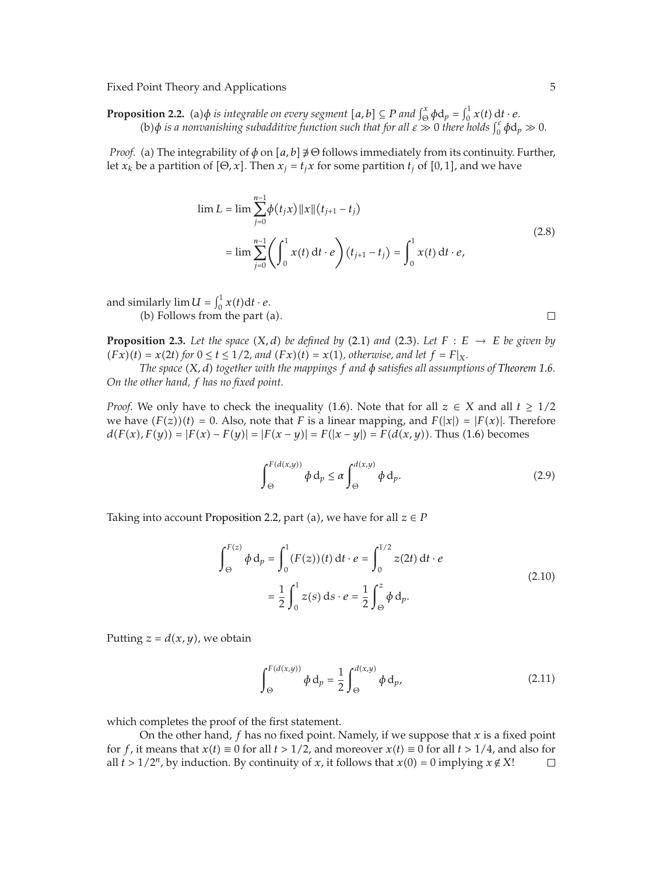Fixed Point Theory and Applications 5

**Proposition 2.2.** (a) $\phi$  *is integrable on every segment*  $[a, b] \subseteq P$  *and*  $\int_{\Theta}^{x} \phi d_p = \int_0^1 x(t) dt \cdot e$ . (b) $\phi$  *is a nonvanishing subadditive function such that for all*  $\varepsilon \gg 0$  *there holds*  $\int_0^{\varepsilon} \phi d_p \gg 0$ .

*Proof.* (a) The integrability of  $\phi$  on  $[a, b] \not\ni \Theta$  follows immediately from its continuity. Further, let  $x_k$  be a partition of  $[\Theta, x]$ . Then  $x_j = t_j x$  for some partition  $t_j$  of  $[0, 1]$ , and we have

$$
\lim L = \lim \sum_{j=0}^{n-1} \phi(t_j x) ||x|| (t_{j+1} - t_j)
$$
  
= 
$$
\lim \sum_{j=0}^{n-1} \left( \int_0^1 x(t) dt \cdot e \right) (t_{j+1} - t_j) = \int_0^1 x(t) dt \cdot e,
$$
 (2.8)

and similarly  $\lim U = \int_0^1 x(t) dt \cdot e$ . (b) Follows from the part (a).

**Proposition 2.3.** Let the space  $(X, d)$  be defined by (2.1) and (2.3). Let  $F : E \rightarrow E$  be given by  $F(x)(t) = x(2t)$  for  $0 \le t \le 1/2$ , and  $(Fx)(t) = x(1)$ , otherwise, and let  $f = F|_X$ .

*The space* -*X, d together with the mappings f and φ satisfies all assumptions of Theorem 1.6. On the other hand, f has no fixed point.*

*Proof.* We only have to check the inequality (1.6). Note that for all  $z \in X$  and all  $t \geq 1/2$ we have  $(F(z))(t) = 0$ . Also, note that *F* is a linear mapping, and  $F(|x|) = |F(x)|$ . Therefore  $d(F(x), F(y)) = |F(x) - F(y)| = |F(x - y)| = F(|x - y|) = F(d(x, y)).$  Thus (1.6) becomes

$$
\int_{\Theta}^{F(d(x,y))} \phi \, \mathrm{d}_p \le \alpha \int_{\Theta}^{d(x,y)} \phi \, \mathrm{d}_p. \tag{2.9}
$$

Taking into account Proposition 2.2, part (a), we have for all  $z \in P$ 

$$
\int_{\Theta}^{F(z)} \phi \, d_p = \int_0^1 (F(z))(t) \, dt \cdot e = \int_0^{1/2} z(2t) \, dt \cdot e
$$
\n
$$
= \frac{1}{2} \int_0^1 z(s) \, ds \cdot e = \frac{1}{2} \int_{\Theta}^z \phi \, d_p. \tag{2.10}
$$

Putting  $z = d(x, y)$ , we obtain

$$
\int_{\Theta}^{F(d(x,y))} \phi \, d_p = \frac{1}{2} \int_{\Theta}^{d(x,y)} \phi \, d_p,
$$
\n(2.11)

which completes the proof of the first statement.

On the other hand, *f* has no fixed point. Namely, if we suppose that *x* is a fixed point for *f*, it means that  $x(t) \equiv 0$  for all  $t > 1/2$ , and moreover  $x(t) \equiv 0$  for all  $t > 1/4$ , and also for all  $t > 1/2^n$ , by induction. By continuity of *x*, it follows that  $x(0) = 0$  implying  $x \notin X!$ 

 $\Box$